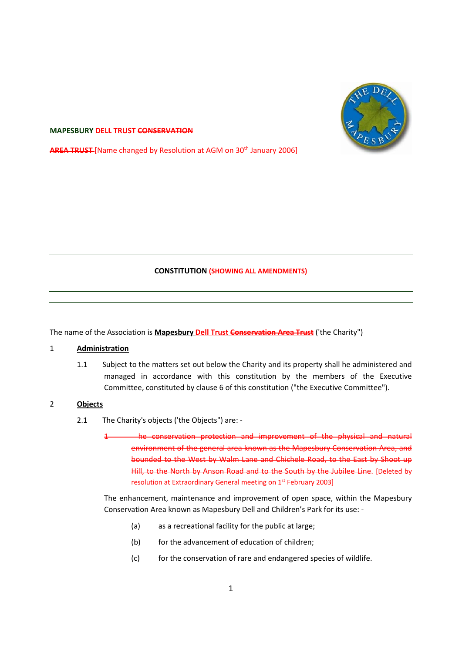

#### **MAPESBURY DELL TRUST CONSERVATION**

**AREA TRUST** [Name changed by Resolution at AGM on 30<sup>th</sup> January 2006]

### **CONSTITUTION (SHOWING ALL AMENDMENTS)**

The name of the Association is **Mapesbury Dell Trust Conservation Area Trust** ('the Charity")

### 1 **Administration**

1.1 Subject to the matters set out below the Charity and its property shall he administered and managed in accordance with this constitution by the members of the Executive Committee, constituted by clause 6 of this constitution ("the Executive Committee").

### 2 **Objects**

- 2.1 The Charity's objects ('the Objects") are: -
	- 1 he conservation protection and improvement of the physical and natural environment of the general area known as the Mapesbury Conservation Area, and bounded to the West by Walm Lane and Chichele Road, to the East by Shoot up Hill, to the North by Anson Road and to the South by the Jubilee Line. [Deleted by resolution at Extraordinary General meeting on 1st February 2003]

The enhancement, maintenance and improvement of open space, within the Mapesbury Conservation Area known as Mapesbury Dell and Children's Park for its use: ‐

- (a) as a recreational facility for the public at large;
- (b) for the advancement of education of children;
- (c) for the conservation of rare and endangered species of wildlife.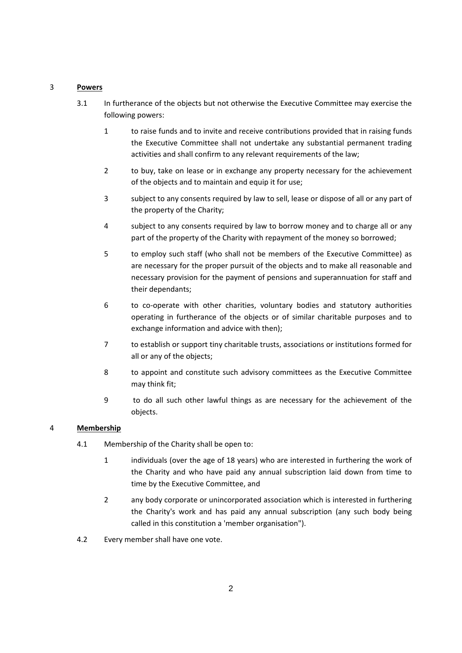# 3 **Powers**

- 3.1 In furtherance of the objects but not otherwise the Executive Committee may exercise the following powers:
	- 1 to raise funds and to invite and receive contributions provided that in raising funds the Executive Committee shall not undertake any substantial permanent trading activities and shall confirm to any relevant requirements of the law;
	- 2 to buy, take on lease or in exchange any property necessary for the achievement of the objects and to maintain and equip it for use;
	- 3 subject to any consents required by law to sell, lease or dispose of all or any part of the property of the Charity;
	- 4 subject to any consents required by law to borrow money and to charge all or any part of the property of the Charity with repayment of the money so borrowed;
	- 5 to employ such staff (who shall not be members of the Executive Committee) as are necessary for the proper pursuit of the objects and to make all reasonable and necessary provision for the payment of pensions and superannuation for staff and their dependants;
	- 6 to co-operate with other charities, voluntary bodies and statutory authorities operating in furtherance of the objects or of similar charitable purposes and to exchange information and advice with then);
	- 7 to establish or support tiny charitable trusts, associations or institutions formed for all or any of the objects;
	- 8 to appoint and constitute such advisory committees as the Executive Committee may think fit;
	- 9 to do all such other lawful things as are necessary for the achievement of the objects.

# 4 **Membership**

- 4.1 Membership of the Charity shall be open to:
	- 1 individuals (over the age of 18 years) who are interested in furthering the work of the Charity and who have paid any annual subscription laid down from time to time by the Executive Committee, and
	- 2 any body corporate or unincorporated association which is interested in furthering the Charity's work and has paid any annual subscription (any such body being called in this constitution a 'member organisation").
- 4.2 Every member shall have one vote.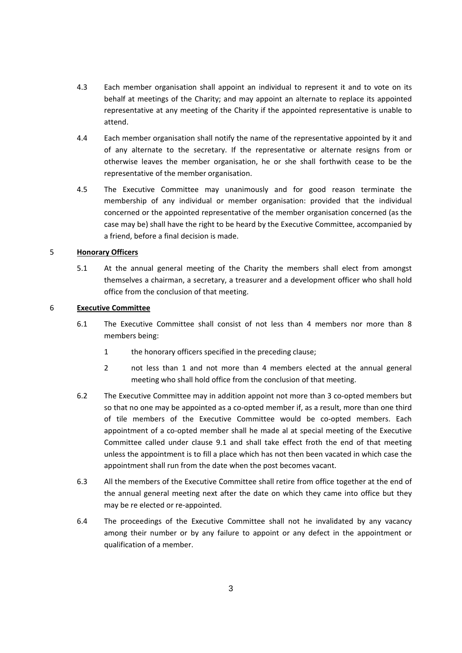- 4.3 Each member organisation shall appoint an individual to represent it and to vote on its behalf at meetings of the Charity; and may appoint an alternate to replace its appointed representative at any meeting of the Charity if the appointed representative is unable to attend.
- 4.4 Each member organisation shall notify the name of the representative appointed by it and of any alternate to the secretary. If the representative or alternate resigns from or otherwise leaves the member organisation, he or she shall forthwith cease to be the representative of the member organisation.
- 4.5 The Executive Committee may unanimously and for good reason terminate the membership of any individual or member organisation: provided that the individual concerned or the appointed representative of the member organisation concerned (as the case may be) shall have the right to be heard by the Executive Committee, accompanied by a friend, before a final decision is made.

# 5 **Honorary Officers**

5.1 At the annual general meeting of the Charity the members shall elect from amongst themselves a chairman, a secretary, a treasurer and a development officer who shall hold office from the conclusion of that meeting.

# 6 **Executive Committee**

- 6.1 The Executive Committee shall consist of not less than 4 members nor more than 8 members being:
	- 1 the honorary officers specified in the preceding clause;
	- 2 not less than 1 and not more than 4 members elected at the annual general meeting who shall hold office from the conclusion of that meeting.
- 6.2 The Executive Committee may in addition appoint not more than 3 co-opted members but so that no one may be appointed as a co-opted member if, as a result, more than one third of tile members of the Executive Committee would be co-opted members. Each appointment of a co-opted member shall he made al at special meeting of the Executive Committee called under clause 9.1 and shall take effect froth the end of that meeting unless the appointment is to fill a place which has not then been vacated in which case the appointment shall run from the date when the post becomes vacant.
- 6.3 All the members of the Executive Committee shall retire from office together at the end of the annual general meeting next after the date on which they came into office but they may be re elected or re‐appointed.
- 6.4 The proceedings of the Executive Committee shall not he invalidated by any vacancy among their number or by any failure to appoint or any defect in the appointment or qualification of a member.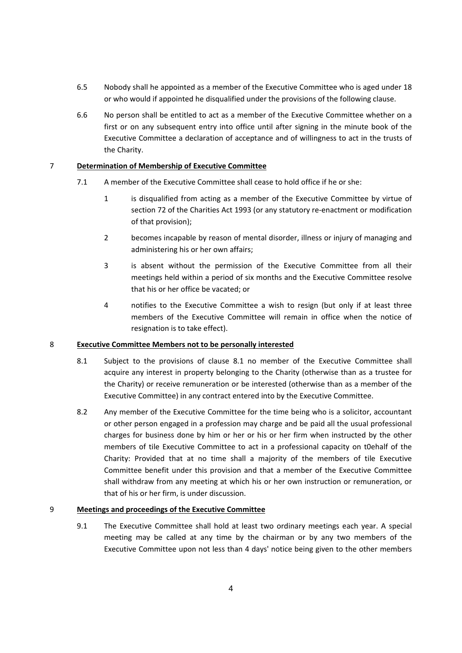- 6.5 Nobody shall he appointed as a member of the Executive Committee who is aged under 18 or who would if appointed he disqualified under the provisions of the following clause.
- 6.6 No person shall be entitled to act as a member of the Executive Committee whether on a first or on any subsequent entry into office until after signing in the minute book of the Executive Committee a declaration of acceptance and of willingness to act in the trusts of the Charity.

# 7 **Determination of Membership of Executive Committee**

- 7.1 A member of the Executive Committee shall cease to hold office if he or she:
	- 1 is disqualified from acting as a member of the Executive Committee by virtue of section 72 of the Charities Act 1993 (or any statutory re-enactment or modification of that provision);
	- 2 becomes incapable by reason of mental disorder, illness or injury of managing and administering his or her own affairs;
	- 3 is absent without the permission of the Executive Committee from all their meetings held within a period of six months and the Executive Committee resolve that his or her office be vacated; or
	- 4 notifies to the Executive Committee a wish to resign (but only if at least three members of the Executive Committee will remain in office when the notice of resignation is to take effect).

### 8 **Executive Committee Members not to be personally interested**

- 8.1 Subject to the provisions of clause 8.1 no member of the Executive Committee shall acquire any interest in property belonging to the Charity (otherwise than as a trustee for the Charity) or receive remuneration or be interested (otherwise than as a member of the Executive Committee) in any contract entered into by the Executive Committee.
- 8.2 Any member of the Executive Committee for the time being who is a solicitor, accountant or other person engaged in a profession may charge and be paid all the usual professional charges for business done by him or her or his or her firm when instructed by the other members of tile Executive Committee to act in a professional capacity on t0ehalf of the Charity: Provided that at no time shall a majority of the members of tile Executive Committee benefit under this provision and that a member of the Executive Committee shall withdraw from any meeting at which his or her own instruction or remuneration, or that of his or her firm, is under discussion.

# 9 **Meetings and proceedings of the Executive Committee**

9.1 The Executive Committee shall hold at least two ordinary meetings each year. A special meeting may be called at any time by the chairman or by any two members of the Executive Committee upon not less than 4 days' notice being given to the other members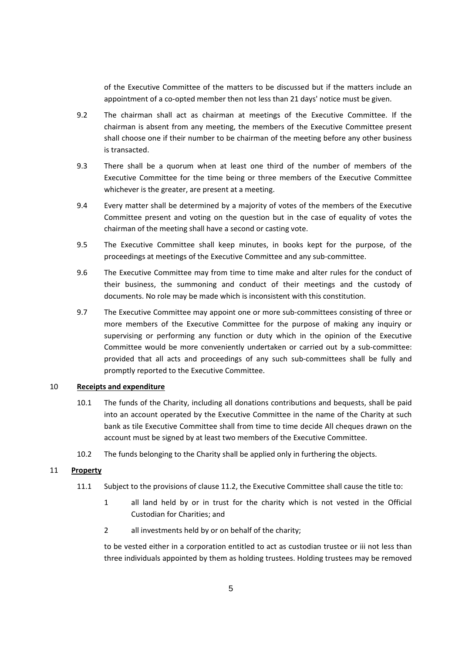of the Executive Committee of the matters to be discussed but if the matters include an appointment of a co-opted member then not less than 21 days' notice must be given.

- 9.2 The chairman shall act as chairman at meetings of the Executive Committee. If the chairman is absent from any meeting, the members of the Executive Committee present shall choose one if their number to be chairman of the meeting before any other business is transacted.
- 9.3 There shall be a quorum when at least one third of the number of members of the Executive Committee for the time being or three members of the Executive Committee whichever is the greater, are present at a meeting.
- 9.4 Every matter shall be determined by a majority of votes of the members of the Executive Committee present and voting on the question but in the case of equality of votes the chairman of the meeting shall have a second or casting vote.
- 9.5 The Executive Committee shall keep minutes, in books kept for the purpose, of the proceedings at meetings of the Executive Committee and any sub‐committee.
- 9.6 The Executive Committee may from time to time make and alter rules for the conduct of their business, the summoning and conduct of their meetings and the custody of documents. No role may be made which is inconsistent with this constitution.
- 9.7 The Executive Committee may appoint one or more sub-committees consisting of three or more members of the Executive Committee for the purpose of making any inquiry or supervising or performing any function or duty which in the opinion of the Executive Committee would be more conveniently undertaken or carried out by a sub‐committee: provided that all acts and proceedings of any such sub‐committees shall be fully and promptly reported to the Executive Committee.

### 10 **Receipts and expenditure**

- 10.1 The funds of the Charity, including all donations contributions and bequests, shall be paid into an account operated by the Executive Committee in the name of the Charity at such bank as tile Executive Committee shall from time to time decide All cheques drawn on the account must be signed by at least two members of the Executive Committee.
- 10.2 The funds belonging to the Charity shall be applied only in furthering the objects.

### 11 **Property**

- 11.1 Subject to the provisions of clause 11.2, the Executive Committee shall cause the title to:
	- 1 all land held by or in trust for the charity which is not vested in the Official Custodian for Charities; and
	- 2 all investments held by or on behalf of the charity;

to be vested either in a corporation entitled to act as custodian trustee or iii not less than three individuals appointed by them as holding trustees. Holding trustees may be removed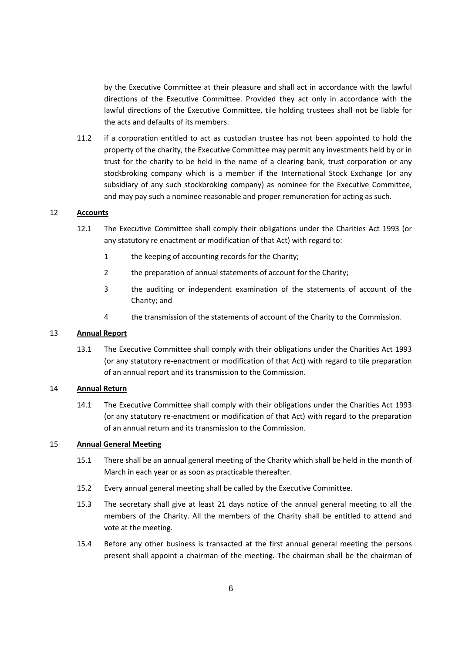by the Executive Committee at their pleasure and shall act in accordance with the lawful directions of the Executive Committee. Provided they act only in accordance with the lawful directions of the Executive Committee, tile holding trustees shall not be liable for the acts and defaults of its members.

11.2 if a corporation entitled to act as custodian trustee has not been appointed to hold the property of the charity, the Executive Committee may permit any investments held by or in trust for the charity to be held in the name of a clearing bank, trust corporation or any stockbroking company which is a member if the International Stock Exchange (or any subsidiary of any such stockbroking company) as nominee for the Executive Committee, and may pay such a nominee reasonable and proper remuneration for acting as such.

# 12 **Accounts**

- 12.1 The Executive Committee shall comply their obligations under the Charities Act 1993 (or any statutory re enactment or modification of that Act) with regard to:
	- 1 the keeping of accounting records for the Charity;
	- 2 the preparation of annual statements of account for the Charity;
	- 3 the auditing or independent examination of the statements of account of the Charity; and
	- 4 the transmission of the statements of account of the Charity to the Commission.

#### 13 **Annual Report**

13.1 The Executive Committee shall comply with their obligations under the Charities Act 1993 (or any statutory re‐enactment or modification of that Act) with regard to tile preparation of an annual report and its transmission to the Commission.

#### 14 **Annual Return**

14.1 The Executive Committee shall comply with their obligations under the Charities Act 1993 (or any statutory re‐enactment or modification of that Act) with regard to the preparation of an annual return and its transmission to the Commission.

### 15 **Annual General Meeting**

- 15.1 There shall be an annual general meeting of the Charity which shall be held in the month of March in each year or as soon as practicable thereafter.
- 15.2 Every annual general meeting shall be called by the Executive Committee.
- 15.3 The secretary shall give at least 21 days notice of the annual general meeting to all the members of the Charity. All the members of the Charity shall be entitled to attend and vote at the meeting.
- 15.4 Before any other business is transacted at the first annual general meeting the persons present shall appoint a chairman of the meeting. The chairman shall be the chairman of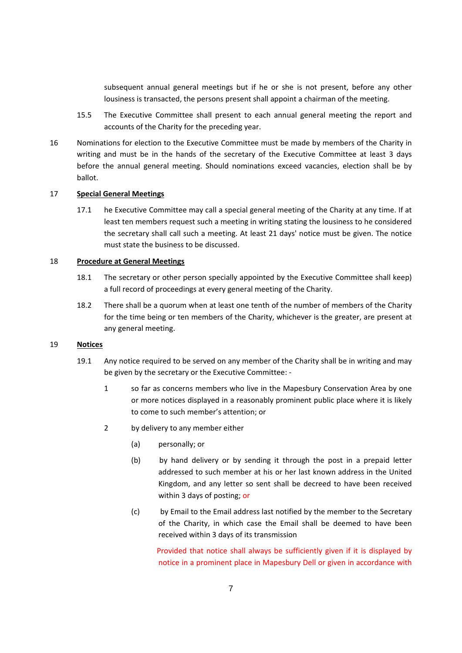subsequent annual general meetings but if he or she is not present, before any other lousiness is transacted, the persons present shall appoint a chairman of the meeting.

- 15.5 The Executive Committee shall present to each annual general meeting the report and accounts of the Charity for the preceding year.
- 16 Nominations for election to the Executive Committee must be made by members of the Charity in writing and must be in the hands of the secretary of the Executive Committee at least 3 days before the annual general meeting. Should nominations exceed vacancies, election shall be by ballot.

#### 17 **Special General Meetings**

17.1 he Executive Committee may call a special general meeting of the Charity at any time. If at least ten members request such a meeting in writing stating the lousiness to he considered the secretary shall call such a meeting. At least 21 days' notice must be given. The notice must state the business to be discussed.

### 18 **Procedure at General Meetings**

- 18.1 The secretary or other person specially appointed by the Executive Committee shall keep) a full record of proceedings at every general meeting of the Charity.
- 18.2 There shall be a quorum when at least one tenth of the number of members of the Charity for the time being or ten members of the Charity, whichever is the greater, are present at any general meeting.

# 19 **Notices**

- 19.1 Any notice required to be served on any member of the Charity shall be in writing and may be given by the secretary or the Executive Committee: ‐
	- 1 so far as concerns members who live in the Mapesbury Conservation Area by one or more notices displayed in a reasonably prominent public place where it is likely to come to such member's attention; or
	- 2 by delivery to any member either
		- (a) personally; or
		- (b) by hand delivery or by sending it through the post in a prepaid letter addressed to such member at his or her last known address in the United Kingdom, and any letter so sent shall be decreed to have been received within 3 days of posting; or
		- (c) by Email to the Email address last notified by the member to the Secretary of the Charity, in which case the Email shall be deemed to have been received within 3 days of its transmission

Provided that notice shall always be sufficiently given if it is displayed by notice in a prominent place in Mapesbury Dell or given in accordance with